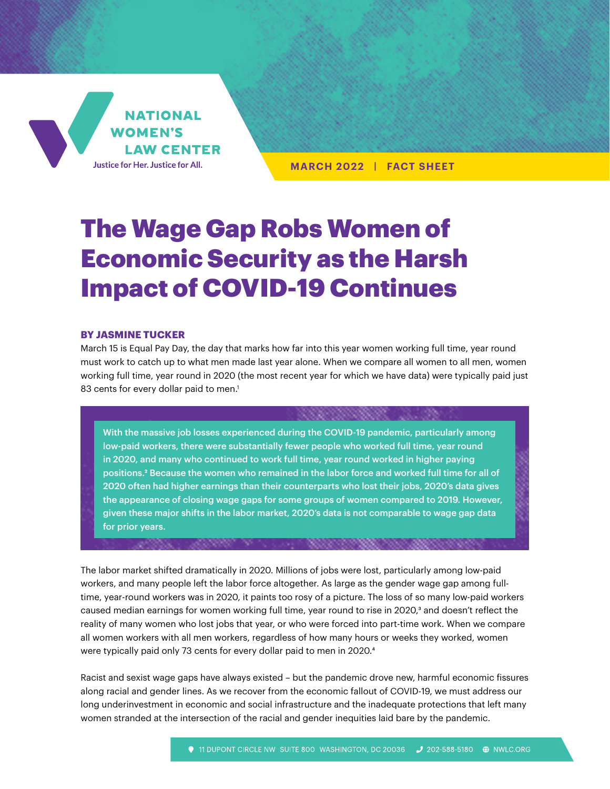

**MARCH 2022 | FACT SHEET**

# The Wage Gap Robs Women of Economic Security as the Harsh Impact of COVID-19 Continues

#### **BY JASMINE TUCKER**

March 15 is Equal Pay Day, the day that marks how far into this year women working full time, year round must work to catch up to what men made last year alone. When we compare all women to all men, women working full time, year round in 2020 (the most recent year for which we have data) were typically paid just 83 cents for every dollar paid to men.<sup>1</sup>

With the massive job losses experienced during the COVID-19 pandemic, particularly among low-paid workers, there were substantially fewer people who worked full time, year round in 2020, and many who continued to work full time, year round worked in higher paying positions.2 Because the women who remained in the labor force and worked full time for all of 2020 often had higher earnings than their counterparts who lost their jobs, 2020's data gives the appearance of closing wage gaps for some groups of women compared to 2019. However, given these major shifts in the labor market, 2020's data is not comparable to wage gap data for prior years.

The labor market shifted dramatically in 2020. Millions of jobs were lost, particularly among low-paid workers, and many people left the labor force altogether. As large as the gender wage gap among fulltime, year-round workers was in 2020, it paints too rosy of a picture. The loss of so many low-paid workers caused median earnings for women working full time, year round to rise in 2020,<sup>3</sup> and doesn't reflect the reality of many women who lost jobs that year, or who were forced into part-time work. When we compare all women workers with all men workers, regardless of how many hours or weeks they worked, women were typically paid only 73 cents for every dollar paid to men in 2020.4

Racist and sexist wage gaps have always existed – but the pandemic drove new, harmful economic fissures along racial and gender lines. As we recover from the economic fallout of COVID-19, we must address our long underinvestment in economic and social infrastructure and the inadequate protections that left many women stranded at the intersection of the racial and gender inequities laid bare by the pandemic.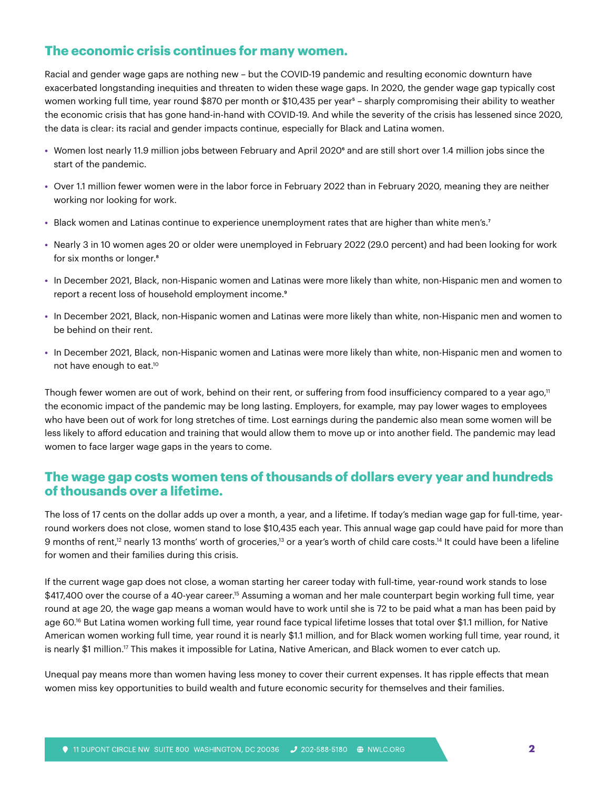# **The economic crisis continues for many women.**

Racial and gender wage gaps are nothing new – but the COVID-19 pandemic and resulting economic downturn have exacerbated longstanding inequities and threaten to widen these wage gaps. In 2020, the gender wage gap typically cost women working full time, year round \$870 per month or \$10,435 per year<sup>5</sup> – sharply compromising their ability to weather the economic crisis that has gone hand-in-hand with COVID-19. And while the severity of the crisis has lessened since 2020, the data is clear: its racial and gender impacts continue, especially for Black and Latina women.

- Women lost nearly 11.9 million jobs between February and April 2020<sup>6</sup> and are still short over 1.4 million jobs since the start of the pandemic.
- **•** Over 1.1 million fewer women were in the labor force in February 2022 than in February 2020, meaning they are neither working nor looking for work.
- Black women and Latinas continue to experience unemployment rates that are higher than white men's.<sup>7</sup>
- **•** Nearly 3 in 10 women ages 20 or older were unemployed in February 2022 (29.0 percent) and had been looking for work for six months or longer.8
- **•** In December 2021, Black, non-Hispanic women and Latinas were more likely than white, non-Hispanic men and women to report a recent loss of household employment income.<sup>9</sup>
- **•** In December 2021, Black, non-Hispanic women and Latinas were more likely than white, non-Hispanic men and women to be behind on their rent.
- **•** In December 2021, Black, non-Hispanic women and Latinas were more likely than white, non-Hispanic men and women to not have enough to eat.10

Though fewer women are out of work, behind on their rent, or suffering from food insufficiency compared to a year ago,<sup>11</sup> the economic impact of the pandemic may be long lasting. Employers, for example, may pay lower wages to employees who have been out of work for long stretches of time. Lost earnings during the pandemic also mean some women will be less likely to afford education and training that would allow them to move up or into another field. The pandemic may lead women to face larger wage gaps in the years to come.

### **The wage gap costs women tens of thousands of dollars every year and hundreds of thousands over a lifetime.**

The loss of 17 cents on the dollar adds up over a month, a year, and a lifetime. If today's median wage gap for full-time, yearround workers does not close, women stand to lose \$10,435 each year. This annual wage gap could have paid for more than 9 months of rent,<sup>12</sup> nearly 13 months' worth of groceries,<sup>13</sup> or a year's worth of child care costs.<sup>14</sup> It could have been a lifeline for women and their families during this crisis.

If the current wage gap does not close, a woman starting her career today with full-time, year-round work stands to lose \$417,400 over the course of a 40-year career.<sup>15</sup> Assuming a woman and her male counterpart begin working full time, year round at age 20, the wage gap means a woman would have to work until she is 72 to be paid what a man has been paid by age 60.16 But Latina women working full time, year round face typical lifetime losses that total over \$1.1 million, for Native American women working full time, year round it is nearly \$1.1 million, and for Black women working full time, year round, it is nearly \$1 million.17 This makes it impossible for Latina, Native American, and Black women to ever catch up.

Unequal pay means more than women having less money to cover their current expenses. It has ripple effects that mean women miss key opportunities to build wealth and future economic security for themselves and their families.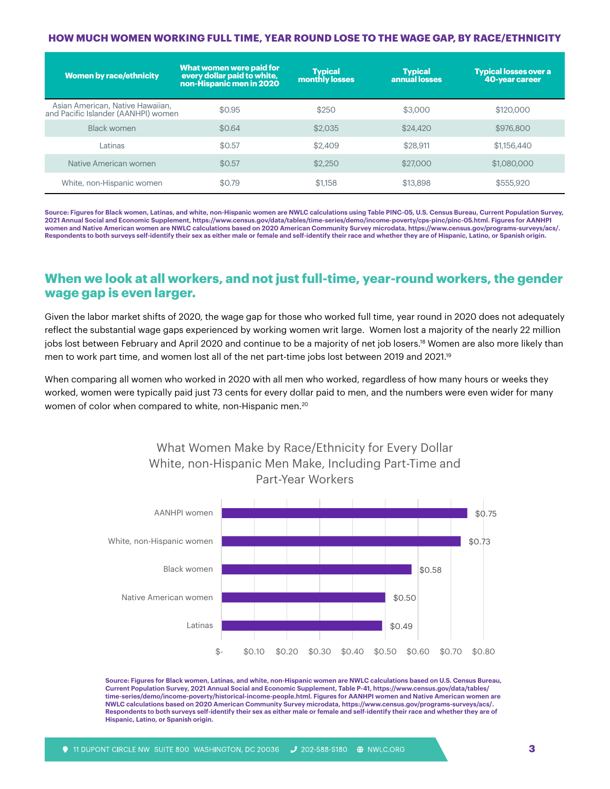#### **HOW MUCH WOMEN WORKING FULL TIME, YEAR ROUND LOSE TO THE WAGE GAP, BY RACE/ETHNICITY**

| <b>Women by race/ethnicity</b>                                          | What women were paid for<br>every dollar paid to white,<br>non-Hispanic men in 2020 | <b>Typical</b><br>monthly losses | <b>Typical</b><br>annual losses | <b>Typical losses over a</b><br>40-year career |
|-------------------------------------------------------------------------|-------------------------------------------------------------------------------------|----------------------------------|---------------------------------|------------------------------------------------|
| Asian American, Native Hawaiian,<br>and Pacific Islander (AANHPI) women | \$0.95                                                                              | \$250                            | \$3,000                         | \$120,000                                      |
| <b>Black women</b>                                                      | \$0.64                                                                              | \$2,035                          | \$24,420                        | \$976,800                                      |
| Latinas                                                                 | \$0.57                                                                              | \$2,409                          | \$28,911                        | \$1,156,440                                    |
| Native American women                                                   | \$0.57                                                                              | \$2,250                          | \$27,000                        | \$1,080,000                                    |
| White, non-Hispanic women                                               | \$0.79                                                                              | \$1,158                          | \$13,898                        | \$555,920                                      |

**Source: Figures for Black women, Latinas, and white, non-Hispanic women are NWLC calculations using Table PINC-05, U.S. Census Bureau, Current Population Survey, 2021 Annual Social and Economic Supplement,<https://www.census.gov/data/tables/time-series/demo/income-poverty/cps-pinc/pinc-05.html>. Figures for AANHPI women and Native American women are NWLC calculations based on 2020 American Community Survey microdata, [https://www.census.gov/programs-surveys/acs/.](https://www.census.gov/programs-surveys/acs/) Respondents to both surveys self-identify their sex as either male or female and self-identify their race and whether they are of Hispanic, Latino, or Spanish origin.**

## **When we look at all workers, and not just full-time, year-round workers, the gender wage gap is even larger.**

Given the labor market shifts of 2020, the wage gap for those who worked full time, year round in 2020 does not adequately reflect the substantial wage gaps experienced by working women writ large. Women lost a majority of the nearly 22 million jobs lost between February and April 2020 and continue to be a majority of net job losers.<sup>18</sup> Women are also more likely than men to work part time, and women lost all of the net part-time jobs lost between 2019 and 2021.<sup>19</sup>

When comparing all women who worked in 2020 with all men who worked, regardless of how many hours or weeks they worked, women were typically paid just 73 cents for every dollar paid to men, and the numbers were even wider for many women of color when compared to white, non-Hispanic men.<sup>20</sup>



**Source: Figures for Black women, Latinas, and white, non-Hispanic women are NWLC calculations based on U.S. Census Bureau, Current Population Survey, 2021 Annual Social and Economic Supplement, Table P-41, [https://www.census.gov/data/tables/](https://www.census.gov/data/tables/time-series/demo/income-poverty/historical-income-people.html) [time-series/demo/income-poverty/historical-income-people.html.](https://www.census.gov/data/tables/time-series/demo/income-poverty/historical-income-people.html) Figures for AANHPI women and Native American women are NWLC calculations based on 2020 American Community Survey microdata,<https://www.census.gov/programs-surveys/acs/>. Respondents to both surveys self-identify their sex as either male or female and self-identify their race and whether they are of Hispanic, Latino, or Spanish origin.**